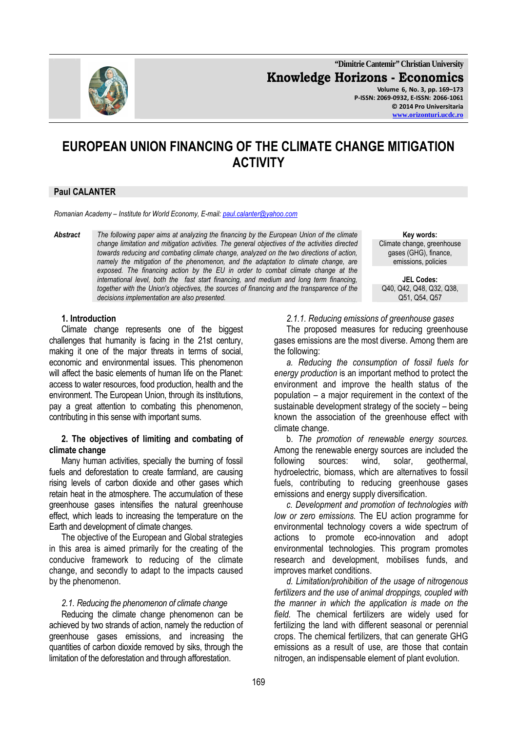

**"Dimitrie Cantemir" Christian University Knowledge Horizons - Economics Volume 6, No. 3, pp. 169–173 P-ISSN: 2069-0932, E-ISSN: 2066-1061 © 2014 Pro Universitaria** 

**www.orizonturi.ucdc.ro**

# **EUROPEAN UNION FINANCING OF THE CLIMATE CHANGE MITIGATION ACTIVITY**

## **Paul CALANTER**

*Romanian Academy – Institute for World Economy, E-mail: paul.calanter@yahoo.com*

*Abstract The following paper aims at analyzing the financing by the European Union of the climate change limitation and mitigation activities. The general objectives of the activities directed towards reducing and combating climate change, analyzed on the two directions of action, namely the mitigation of the phenomenon, and the adaptation to climate change, are exposed. The financing action by the EU in order to combat climate change at the international level, both the fast start financing, and medium and long term financing, together with the Union's objectives, the sources of financing and the transparence of the decisions implementation are also presented.*

#### **1. Introduction**

Climate change represents one of the biggest challenges that humanity is facing in the 21st century, making it one of the major threats in terms of social, economic and environmental issues. This phenomenon will affect the basic elements of human life on the Planet: access to water resources, food production, health and the environment. The European Union, through its institutions, pay a great attention to combating this phenomenon, contributing in this sense with important sums.

#### **2. The objectives of limiting and combating of climate change**

Many human activities, specially the burning of fossil fuels and deforestation to create farmland, are causing rising levels of carbon dioxide and other gases which retain heat in the atmosphere. The accumulation of these greenhouse gases intensifies the natural greenhouse effect, which leads to increasing the temperature on the Earth and development of climate changes.

The objective of the European and Global strategies in this area is aimed primarily for the creating of the conducive framework to reducing of the climate change, and secondly to adapt to the impacts caused by the phenomenon.

#### *2.1. Reducing the phenomenon of climate change*

Reducing the climate change phenomenon can be achieved by two strands of action, namely the reduction of greenhouse gases emissions, and increasing the quantities of carbon dioxide removed by siks, through the limitation of the deforestation and through afforestation.

169

**Key words:**  Climate change, greenhouse gases (GHG), finance, emissions, policies

**JEL Codes:** Q40, Q42, Q48, Q32, Q38, Q51, Q54, Q57

*2.1.1. Reducing emissions of greenhouse gases* 

The proposed measures for reducing greenhouse gases emissions are the most diverse. Among them are the following:

*a. Reducing the consumption of fossil fuels for energy production* is an important method to protect the environment and improve the health status of the population – a major requirement in the context of the sustainable development strategy of the society – being known the association of the greenhouse effect with climate change.

b. *The promotion of renewable energy sources.* Among the renewable energy sources are included the following sources: wind, solar, geothermal, hydroelectric, biomass, which are alternatives to fossil fuels, contributing to reducing greenhouse gases emissions and energy supply diversification.

*c. Development and promotion of technologies with low or zero emissions.* The EU action programme for environmental technology covers a wide spectrum of actions to promote eco-innovation and adopt environmental technologies. This program promotes research and development, mobilises funds, and improves market conditions.

*d. Limitation/prohibition of the usage of nitrogenous fertilizers and the use of animal droppings, coupled with the manner in which the application is made on the field.* The chemical fertilizers are widely used for fertilizing the land with different seasonal or perennial crops. The chemical fertilizers, that can generate GHG emissions as a result of use, are those that contain nitrogen, an indispensable element of plant evolution.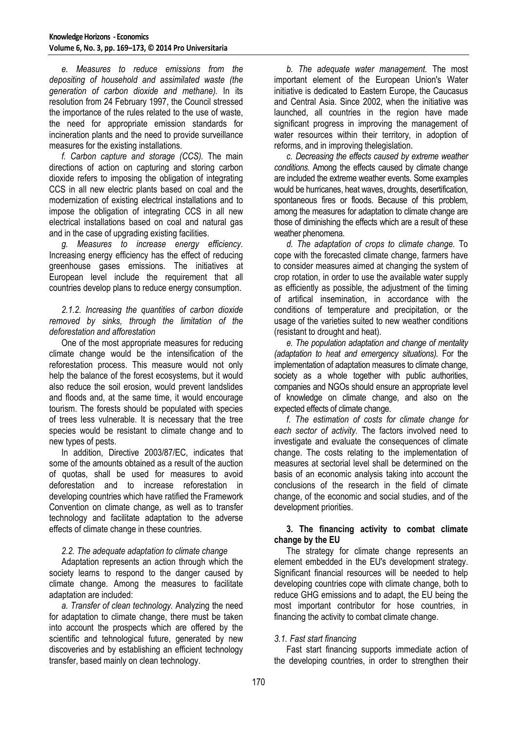*e. Measures to reduce emissions from the depositing of household and assimilated waste (the generation of carbon dioxide and methane).* In its resolution from 24 February 1997, the Council stressed the importance of the rules related to the use of waste, the need for appropriate emission standards for incineration plants and the need to provide surveillance measures for the existing installations.

*f. Carbon capture and storage (CCS).* The main directions of action on capturing and storing carbon dioxide refers to imposing the obligation of integrating CCS in all new electric plants based on coal and the modernization of existing electrical installations and to impose the obligation of integrating CCS in all new electrical installations based on coal and natural gas and in the case of upgrading existing facilities.

*g. Measures to increase energy efficiency.* Increasing energy efficiency has the effect of reducing greenhouse gases emissions. The initiatives at European level include the requirement that all countries develop plans to reduce energy consumption.

*2.1.2. Increasing the quantities of carbon dioxide removed by sinks, through the limitation of the deforestation and afforestation* 

One of the most appropriate measures for reducing climate change would be the intensification of the reforestation process. This measure would not only help the balance of the forest ecosystems, but it would also reduce the soil erosion, would prevent landslides and floods and, at the same time, it would encourage tourism. The forests should be populated with species of trees less vulnerable. It is necessary that the tree species would be resistant to climate change and to new types of pests.

In addition, Directive 2003/87/EC, indicates that some of the amounts obtained as a result of the auction of quotas, shall be used for measures to avoid deforestation and to increase reforestation in developing countries which have ratified the Framework Convention on climate change, as well as to transfer technology and facilitate adaptation to the adverse effects of climate change in these countries.

#### *2.2. The adequate adaptation to climate change*

Adaptation represents an action through which the society learns to respond to the danger caused by climate change. Among the measures to facilitate adaptation are included:

*a. Transfer of clean technology.* Analyzing the need for adaptation to climate change, there must be taken into account the prospects which are offered by the scientific and tehnological future, generated by new discoveries and by establishing an efficient technology transfer, based mainly on clean technology.

*b. The adequate water management.* The most important element of the European Union's Water initiative is dedicated to Eastern Europe, the Caucasus and Central Asia. Since 2002, when the initiative was launched, all countries in the region have made significant progress in improving the management of water resources within their territory, in adoption of reforms, and in improving thelegislation.

*c. Decreasing the effects caused by extreme weather conditions.* Among the effects caused by climate change are included the extreme weather events. Some examples would be hurricanes, heat waves, droughts, desertification, spontaneous fires or floods. Because of this problem, among the measures for adaptation to climate change are those of diminishing the effects which are a result of these weather phenomena.

*d. The adaptation of crops to climate change.* To cope with the forecasted climate change, farmers have to consider measures aimed at changing the system of crop rotation, in order to use the available water supply as efficiently as possible, the adjustment of the timing of artifical insemination, in accordance with the conditions of temperature and precipitation, or the usage of the varieties suited to new weather conditions (resistant to drought and heat).

*e. The population adaptation and change of mentality (adaptation to heat and emergency situations).* For the implementation of adaptation measures to climate change, society as a whole together with public authorities, companies and NGOs should ensure an appropriate level of knowledge on climate change, and also on the expected effects of climate change.

*f. The estimation of costs for climate change for each sector of activity.* The factors involved need to investigate and evaluate the consequences of climate change. The costs relating to the implementation of measures at sectorial level shall be determined on the basis of an economic analysis taking into account the conclusions of the research in the field of climate change, of the economic and social studies, and of the development priorities.

### **3. The financing activity to combat climate change by the EU**

The strategy for climate change represents an element embedded in the EU's development strategy. Significant financial resources will be needed to help developing countries cope with climate change, both to reduce GHG emissions and to adapt, the EU being the most important contributor for hose countries, in financing the activity to combat climate change.

# *3.1. Fast start financing*

Fast start financing supports immediate action of the developing countries, in order to strengthen their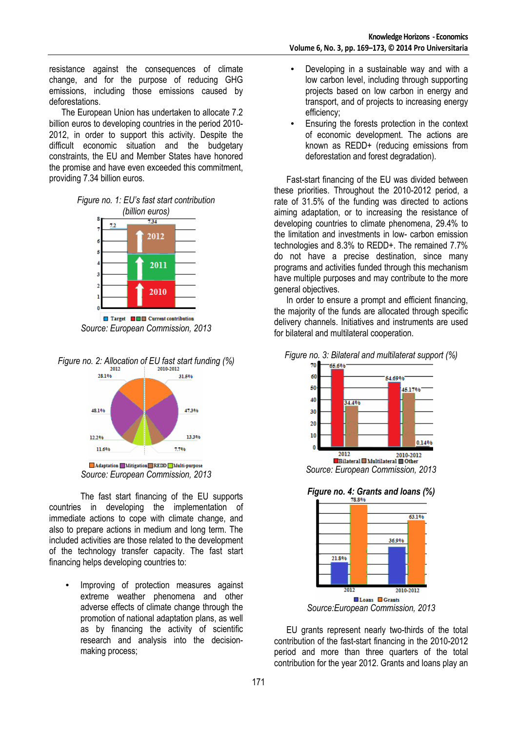resistance against the consequences of climate change, and for the purpose of reducing GHG emissions, including those emissions caused by deforestations.

The European Union has undertaken to allocate 7.2 billion euros to developing countries in the period 2010- 2012, in order to support this activity. Despite the difficult economic situation and the budgetary constraints, the EU and Member States have honored the promise and have even exceeded this commitment, providing 7.34 billion euros.





*Source: European Commission, 2013* 







The fast start financing of the EU supports countries in developing the implementation of immediate actions to cope with climate change, and also to prepare actions in medium and long term. The included activities are those related to the development of the technology transfer capacity. The fast start financing helps developing countries to:

Improving of protection measures against extreme weather phenomena and other adverse effects of climate change through the promotion of national adaptation plans, as well as by financing the activity of scientific research and analysis into the decisionmaking process;

- Developing in a sustainable way and with a low carbon level, including through supporting projects based on low carbon in energy and transport, and of projects to increasing energy efficiency;
- Ensuring the forests protection in the context of economic development. The actions are known as REDD+ (reducing emissions from deforestation and forest degradation).

Fast-start financing of the EU was divided between these priorities. Throughout the 2010-2012 period, a rate of 31.5% of the funding was directed to actions aiming adaptation, or to increasing the resistance of developing countries to climate phenomena, 29.4% to the limitation and investments in low- carbon emission technologies and 8.3% to REDD+. The remained 7.7% do not have a precise destination, since many programs and activities funded through this mechanism have multiple purposes and may contribute to the more general objectives.

In order to ensure a prompt and efficient financing, the majority of the funds are allocated through specific delivery channels. Initiatives and instruments are used for bilateral and multilateral cooperation.





*Source: European Commission, 2013*

*Figure no. 4: Grants and loans (%)*



EU grants represent nearly two-thirds of the total contribution of the fast-start financing in the 2010-2012 period and more than three quarters of the total contribution for the year 2012. Grants and loans play an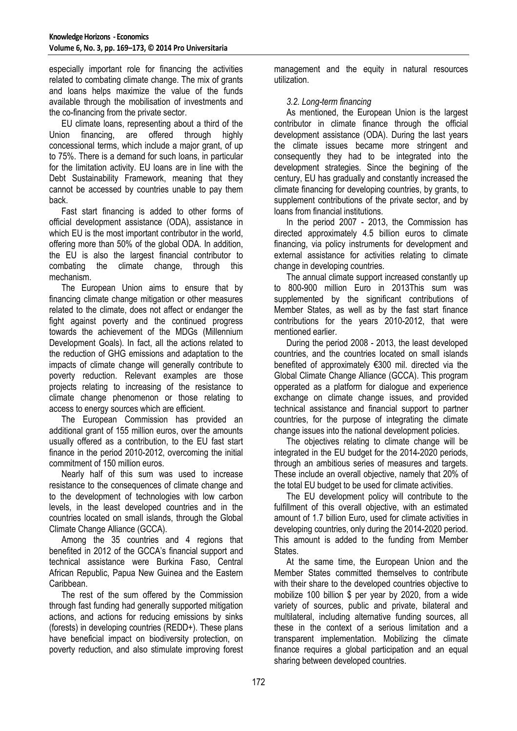especially important role for financing the activities related to combating climate change. The mix of grants and loans helps maximize the value of the funds available through the mobilisation of investments and the co-financing from the private sector.

EU climate loans, representing about a third of the Union financing, are offered through highly concessional terms, which include a major grant, of up to 75%. There is a demand for such loans, in particular for the limitation activity. EU loans are in line with the Debt Sustainability Framework, meaning that they cannot be accessed by countries unable to pay them back.

Fast start financing is added to other forms of official development assistance (ODA), assistance in which EU is the most important contributor in the world. offering more than 50% of the global ODA. In addition, the EU is also the largest financial contributor to combating the climate change, through this mechanism.

The European Union aims to ensure that by financing climate change mitigation or other measures related to the climate, does not affect or endanger the fight against poverty and the continued progress towards the achievement of the MDGs (Millennium Development Goals). In fact, all the actions related to the reduction of GHG emissions and adaptation to the impacts of climate change will generally contribute to poverty reduction. Relevant examples are those projects relating to increasing of the resistance to climate change phenomenon or those relating to access to energy sources which are efficient.

The European Commission has provided an additional grant of 155 million euros, over the amounts usually offered as a contribution, to the EU fast start finance in the period 2010-2012, overcoming the initial commitment of 150 million euros.

Nearly half of this sum was used to increase resistance to the consequences of climate change and to the development of technologies with low carbon levels, in the least developed countries and in the countries located on small islands, through the Global Climate Change Alliance (GCCA).

Among the 35 countries and 4 regions that benefited in 2012 of the GCCA's financial support and technical assistance were Burkina Faso, Central African Republic, Papua New Guinea and the Eastern Caribbean.

The rest of the sum offered by the Commission through fast funding had generally supported mitigation actions, and actions for reducing emissions by sinks (forests) in developing countries (REDD+). These plans have beneficial impact on biodiversity protection, on poverty reduction, and also stimulate improving forest management and the equity in natural resources utilization.

# *3.2. Long-term financing*

As mentioned, the European Union is the largest contributor in climate finance through the official development assistance (ODA). During the last years the climate issues became more stringent and consequently they had to be integrated into the development strategies. Since the begining of the century, EU has gradually and constantly increased the climate financing for developing countries, by grants, to supplement contributions of the private sector, and by loans from financial institutions.

In the period 2007 - 2013, the Commission has directed approximately 4.5 billion euros to climate financing, via policy instruments for development and external assistance for activities relating to climate change in developing countries.

The annual climate support increased constantly up to 800-900 million Euro in 2013This sum was supplemented by the significant contributions of Member States, as well as by the fast start finance contributions for the years 2010-2012, that were mentioned earlier.

During the period 2008 - 2013, the least developed countries, and the countries located on small islands benefited of approximately €300 mil. directed via the Global Climate Change Alliance (GCCA). This program opperated as a platform for dialogue and experience exchange on climate change issues, and provided technical assistance and financial support to partner countries, for the purpose of integrating the climate change issues into the national development policies.

The objectives relating to climate change will be integrated in the EU budget for the 2014-2020 periods, through an ambitious series of measures and targets. These include an overall objective, namely that 20% of the total EU budget to be used for climate activities.

The EU development policy will contribute to the fulfillment of this overall objective, with an estimated amount of 1.7 billion Euro, used for climate activities in developing countries, only during the 2014-2020 period. This amount is added to the funding from Member States.

At the same time, the European Union and the Member States committed themselves to contribute with their share to the developed countries objective to mobilize 100 billion \$ per year by 2020, from a wide variety of sources, public and private, bilateral and multilateral, including alternative funding sources, all these in the context of a serious limitation and a transparent implementation. Mobilizing the climate finance requires a global participation and an equal sharing between developed countries.